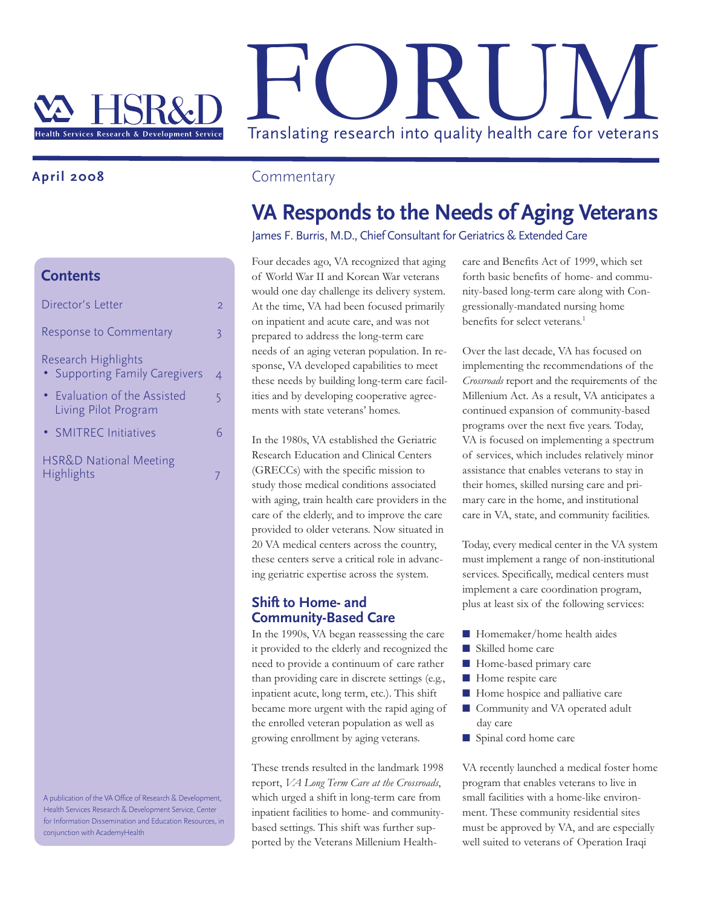# Translating research into quality health care for veterans

## **April 2008**

#### **Contents**

| Director's Letter                                                       | 2 |
|-------------------------------------------------------------------------|---|
| <b>Response to Commentary</b>                                           | 3 |
| Research Highlights<br><b>Supporting Family Caregivers</b><br>$\bullet$ | 4 |
| • Evaluation of the Assisted<br>Living Pilot Program                    | 5 |
| • SMITREC Initiatives                                                   |   |
| <b>HSR&amp;D National Meeting</b><br>Highlights                         |   |

A publication of the VA Office of Research & Development, Health Services Research & Development Service, Center for Information Dissemination and Education Resources, in conjunction with AcademyHealth

### **Commentary**

# **VA Responds to the Needs of Aging Veterans**

#### James F. Burris, M.D., Chief Consultant for Geriatrics & Extended Care

Four decades ago, VA recognized that aging of World War II and Korean War veterans would one day challenge its delivery system. At the time, VA had been focused primarily on inpatient and acute care, and was not prepared to address the long-term care needs of an aging veteran population. In response, VA developed capabilities to meet these needs by building long-term care facilities and by developing cooperative agreements with state veterans' homes.

In the 1980s, VA established the Geriatric Research Education and Clinical Centers (GRECCs) with the specific mission to study those medical conditions associated with aging, train health care providers in the care of the elderly, and to improve the care provided to older veterans. Now situated in 20 VA medical centers across the country, these centers serve a critical role in advancing geriatric expertise across the system.

#### **Shift to Home- and Community-Based Care**

In the 1990s, VA began reassessing the care it provided to the elderly and recognized the need to provide a continuum of care rather than providing care in discrete settings (e.g., inpatient acute, long term, etc.). This shift became more urgent with the rapid aging of the enrolled veteran population as well as growing enrollment by aging veterans.

These trends resulted in the landmark 1998 report, *VA Long Term Care at the Crossroads*, which urged a shift in long-term care from inpatient facilities to home- and communitybased settings. This shift was further supported by the Veterans Millenium Healthcare and Benefits Act of 1999, which set forth basic benefits of home- and community-based long-term care along with Congressionally-mandated nursing home benefits for select veterans.<sup>1</sup>

Over the last decade, VA has focused on implementing the recommendations of the *Crossroads* report and the requirements of the Millenium Act. As a result, VA anticipates a continued expansion of community-based programs over the next five years. Today, VA is focused on implementing a spectrum of services, which includes relatively minor assistance that enables veterans to stay in their homes, skilled nursing care and primary care in the home, and institutional care in VA, state, and community facilities.

Today, every medical center in the VA system must implement a range of non-institutional services. Specifically, medical centers must implement a care coordination program, plus at least six of the following services:

- Homemaker/home health aides
- Skilled home care
- Home-based primary care
- Home respite care
- Home hospice and palliative care
- Community and VA operated adult day care
- Spinal cord home care

VA recently launched a medical foster home program that enables veterans to live in small facilities with a home-like environment. These community residential sites must be approved by VA, and are especially well suited to veterans of Operation Iraqi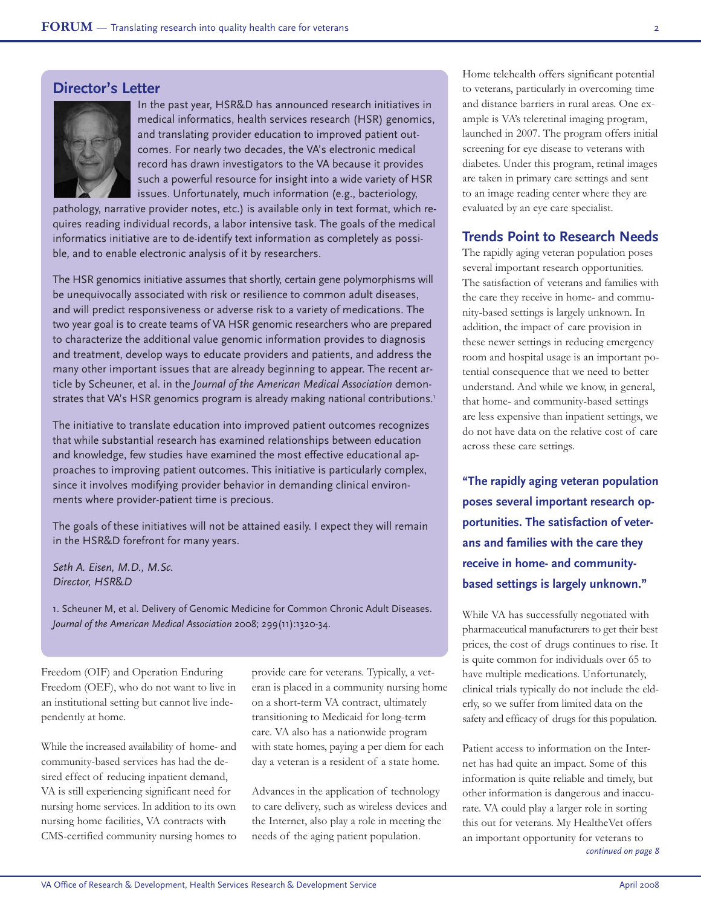#### **Director's Letter**



In the past year, HSR&D has announced research initiatives in medical informatics, health services research (HSR) genomics, and translating provider education to improved patient outcomes. For nearly two decades, the VA's electronic medical record has drawn investigators to the VA because it provides such a powerful resource for insight into a wide variety of HSR issues. Unfortunately, much information (e.g., bacteriology,

pathology, narrative provider notes, etc.) is available only in text format, which requires reading individual records, a labor intensive task. The goals of the medical informatics initiative are to de-identify text information as completely as possible, and to enable electronic analysis of it by researchers.

The HSR genomics initiative assumes that shortly, certain gene polymorphisms will be unequivocally associated with risk or resilience to common adult diseases, and will predict responsiveness or adverse risk to a variety of medications. The two year goal is to create teams of VA HSR genomic researchers who are prepared to characterize the additional value genomic information provides to diagnosis and treatment, develop ways to educate providers and patients, and address the many other important issues that are already beginning to appear. The recent article by Scheuner, et al. in the *Journal of the American Medical Association* demonstrates that VA's HSR genomics program is already making national contributions.<sup>1</sup>

The initiative to translate education into improved patient outcomes recognizes that while substantial research has examined relationships between education and knowledge, few studies have examined the most effective educational approaches to improving patient outcomes. This initiative is particularly complex, since it involves modifying provider behavior in demanding clinical environments where provider-patient time is precious.

The goals of these initiatives will not be attained easily. I expect they will remain in the HSR&D forefront for many years.

*Seth A. Eisen, M.D., M.Sc. Director, HSR*&*D*

1. Scheuner M, et al. Delivery of Genomic Medicine for Common Chronic Adult Diseases. *Journal of the American Medical Association* 2008; 299(11):1320-34.

Freedom (OIF) and Operation Enduring Freedom (OEF), who do not want to live in an institutional setting but cannot live independently at home.

While the increased availability of home- and community-based services has had the desired effect of reducing inpatient demand, VA is still experiencing significant need for nursing home services. In addition to its own nursing home facilities, VA contracts with CMS-certified community nursing homes to provide care for veterans. Typically, a veteran is placed in a community nursing home on a short-term VA contract, ultimately transitioning to Medicaid for long-term care. VA also has a nationwide program with state homes, paying a per diem for each day a veteran is a resident of a state home.

Advances in the application of technology to care delivery, such as wireless devices and the Internet, also play a role in meeting the needs of the aging patient population.

Home telehealth offers significant potential to veterans, particularly in overcoming time and distance barriers in rural areas. One example is VA's teleretinal imaging program, launched in 2007. The program offers initial screening for eye disease to veterans with diabetes. Under this program, retinal images are taken in primary care settings and sent to an image reading center where they are evaluated by an eye care specialist.

#### **Trends Point to Research Needs**

The rapidly aging veteran population poses several important research opportunities. The satisfaction of veterans and families with the care they receive in home- and community-based settings is largely unknown. In addition, the impact of care provision in these newer settings in reducing emergency room and hospital usage is an important potential consequence that we need to better understand. And while we know, in general, that home- and community-based settings are less expensive than inpatient settings, we do not have data on the relative cost of care across these care settings.

**"The rapidly aging veteran population poses several important research opportunities. The satisfaction of veterans and families with the care they receive in home- and communitybased settings is largely unknown."**

While VA has successfully negotiated with pharmaceutical manufacturers to get their best prices, the cost of drugs continues to rise. It is quite common for individuals over 65 to have multiple medications. Unfortunately, clinical trials typically do not include the elderly, so we suffer from limited data on the safety and efficacy of drugs for this population.

Patient access to information on the Internet has had quite an impact. Some of this information is quite reliable and timely, but other information is dangerous and inaccurate. VA could play a larger role in sorting this out for veterans. My HealtheVet offers an important opportunity for veterans to *continued on page 8*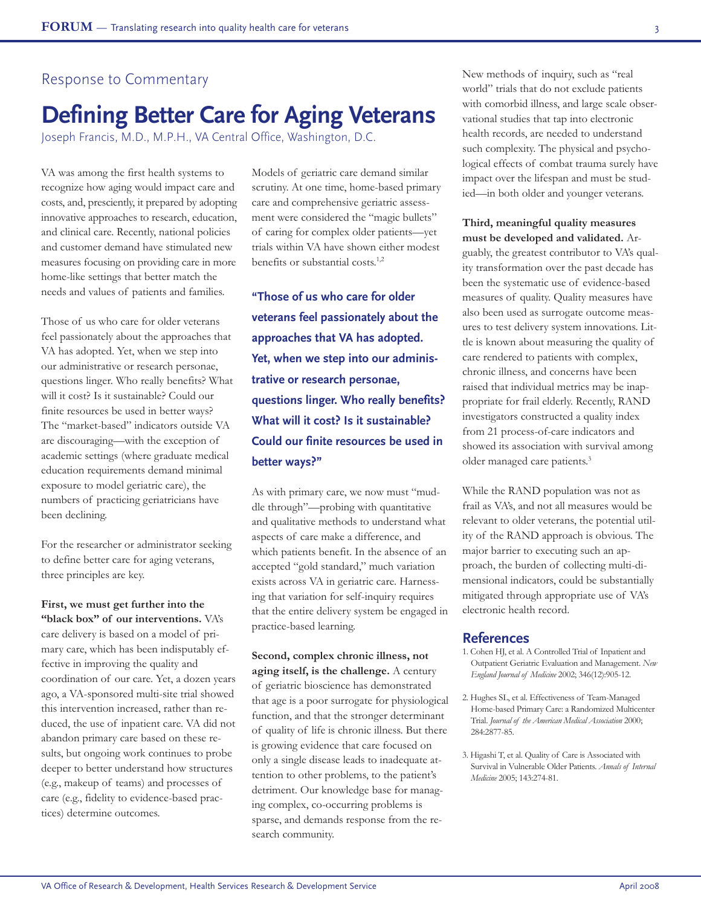#### Response to Commentary

# **Defining Better Care for Aging Veterans**

Joseph Francis, M.D., M.P.H., VA Central Office, Washington, D.C.

VA was among the first health systems to recognize how aging would impact care and costs, and, presciently, it prepared by adopting innovative approaches to research, education, and clinical care. Recently, national policies and customer demand have stimulated new measures focusing on providing care in more home-like settings that better match the needs and values of patients and families.

Those of us who care for older veterans feel passionately about the approaches that VA has adopted. Yet, when we step into our administrative or research personae, questions linger. Who really benefits? What will it cost? Is it sustainable? Could our finite resources be used in better ways? The "market-based" indicators outside VA are discouraging—with the exception of academic settings (where graduate medical education requirements demand minimal exposure to model geriatric care), the numbers of practicing geriatricians have been declining.

For the researcher or administrator seeking to define better care for aging veterans, three principles are key.

**First, we must get further into the "black box" of our interventions.** VA's care delivery is based on a model of primary care, which has been indisputably effective in improving the quality and coordination of our care. Yet, a dozen years ago, a VA-sponsored multi-site trial showed this intervention increased, rather than reduced, the use of inpatient care. VA did not abandon primary care based on these results, but ongoing work continues to probe deeper to better understand how structures (e.g., makeup of teams) and processes of care (e.g., fidelity to evidence-based practices) determine outcomes.

Models of geriatric care demand similar scrutiny. At one time, home-based primary care and comprehensive geriatric assessment were considered the "magic bullets" of caring for complex older patients—yet trials within VA have shown either modest benefits or substantial costs.<sup>1,2</sup>

**"Those of us who care for older veterans feel passionately about the approaches that VA has adopted. Yet, when we step into our administrative or research personae, questions linger. Who really benefits? What will it cost? Is it sustainable? Could our finite resources be used in better ways?"**

As with primary care, we now must "muddle through"—probing with quantitative and qualitative methods to understand what aspects of care make a difference, and which patients benefit. In the absence of an accepted "gold standard," much variation exists across VA in geriatric care. Harnessing that variation for self-inquiry requires that the entire delivery system be engaged in practice-based learning.

**Second, complex chronic illness, not aging itself, is the challenge.** A century of geriatric bioscience has demonstrated that age is a poor surrogate for physiological function, and that the stronger determinant of quality of life is chronic illness. But there is growing evidence that care focused on only a single disease leads to inadequate attention to other problems, to the patient's detriment. Our knowledge base for managing complex, co-occurring problems is sparse, and demands response from the research community.

New methods of inquiry, such as "real world" trials that do not exclude patients with comorbid illness, and large scale observational studies that tap into electronic health records, are needed to understand such complexity. The physical and psychological effects of combat trauma surely have impact over the lifespan and must be studied—in both older and younger veterans.

#### **Third, meaningful quality measures must be developed and validated.** Ar-

guably, the greatest contributor to VA's quality transformation over the past decade has been the systematic use of evidence-based measures of quality. Quality measures have also been used as surrogate outcome measures to test delivery system innovations. Little is known about measuring the quality of care rendered to patients with complex, chronic illness, and concerns have been raised that individual metrics may be inappropriate for frail elderly. Recently, RAND investigators constructed a quality index from 21 process-of-care indicators and showed its association with survival among older managed care patients.3

While the RAND population was not as frail as VA's, and not all measures would be relevant to older veterans, the potential utility of the RAND approach is obvious. The major barrier to executing such an approach, the burden of collecting multi-dimensional indicators, could be substantially mitigated through appropriate use of VA's electronic health record.

#### **References**

- 1. Cohen HJ, et al. A Controlled Trial of Inpatient and Outpatient Geriatric Evaluation and Management. *New England Journal of Medicine* 2002; 346(12):905-12.
- 2. Hughes SL, et al. Effectiveness of Team-Managed Home-based Primary Care: a Randomized Multicenter Trial. *Journal of the American Medical Association* 2000; 284:2877-85.
- 3. Higashi T, et al. Quality of Care is Associated with Survival in Vulnerable Older Patients. *Annals of Internal Medicine* 2005; 143:274-81.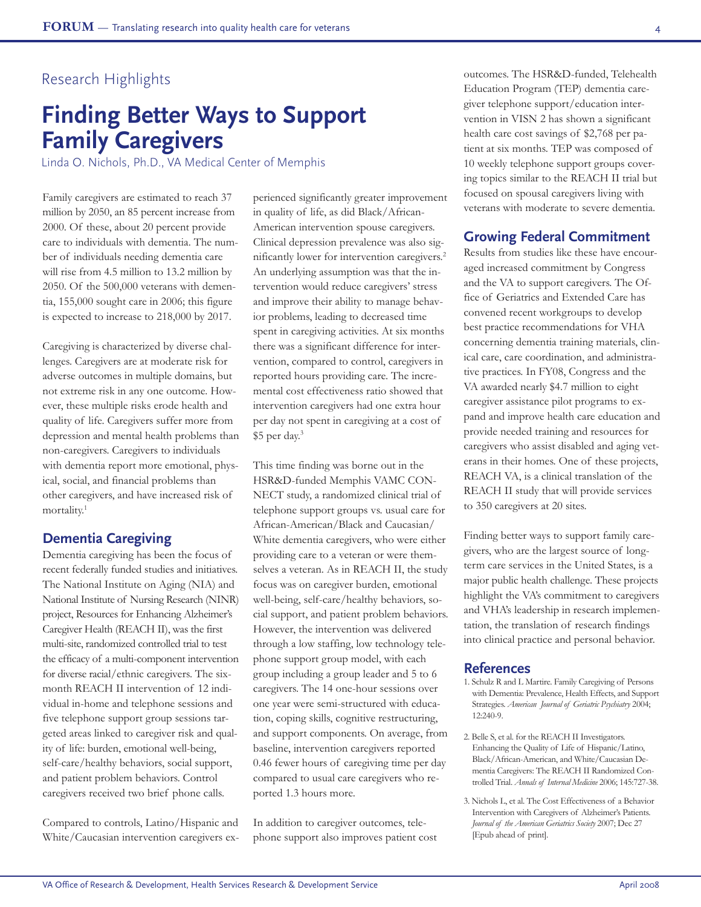# **Finding Better Ways to Support Family Caregivers**

Linda O. Nichols, Ph.D., VA Medical Center of Memphis

Family caregivers are estimated to reach 37 million by 2050, an 85 percent increase from 2000. Of these, about 20 percent provide care to individuals with dementia. The number of individuals needing dementia care will rise from 4.5 million to 13.2 million by 2050. Of the 500,000 veterans with dementia, 155,000 sought care in 2006; this figure is expected to increase to 218,000 by 2017.

Caregiving is characterized by diverse challenges. Caregivers are at moderate risk for adverse outcomes in multiple domains, but not extreme risk in any one outcome. However, these multiple risks erode health and quality of life. Caregivers suffer more from depression and mental health problems than non-caregivers. Caregivers to individuals with dementia report more emotional, physical, social, and financial problems than other caregivers, and have increased risk of mortality.1

#### **Dementia Caregiving**

Dementia caregiving has been the focus of recent federally funded studies and initiatives. The National Institute on Aging (NIA) and National Institute of Nursing Research (NINR) project, Resources for Enhancing Alzheimer's Caregiver Health (REACH II), was the first multi-site, randomized controlled trial to test the efficacy of a multi-component intervention for diverse racial/ethnic caregivers. The sixmonth REACH II intervention of 12 individual in-home and telephone sessions and five telephone support group sessions targeted areas linked to caregiver risk and quality of life: burden, emotional well-being, self-care/healthy behaviors, social support, and patient problem behaviors. Control caregivers received two brief phone calls.

Compared to controls, Latino/Hispanic and White/Caucasian intervention caregivers experienced significantly greater improvement in quality of life, as did Black/African-American intervention spouse caregivers. Clinical depression prevalence was also significantly lower for intervention caregivers.2 An underlying assumption was that the intervention would reduce caregivers' stress and improve their ability to manage behavior problems, leading to decreased time spent in caregiving activities. At six months there was a significant difference for intervention, compared to control, caregivers in reported hours providing care. The incremental cost effectiveness ratio showed that intervention caregivers had one extra hour per day not spent in caregiving at a cost of \$5 per day.3

This time finding was borne out in the HSR&D-funded Memphis VAMC CON-NECT study, a randomized clinical trial of telephone support groups vs. usual care for African-American/Black and Caucasian/ White dementia caregivers, who were either providing care to a veteran or were themselves a veteran. As in REACH II, the study focus was on caregiver burden, emotional well-being, self-care/healthy behaviors, social support, and patient problem behaviors. However, the intervention was delivered through a low staffing, low technology telephone support group model, with each group including a group leader and 5 to 6 caregivers. The 14 one-hour sessions over one year were semi-structured with education, coping skills, cognitive restructuring, and support components. On average, from baseline, intervention caregivers reported 0.46 fewer hours of caregiving time per day compared to usual care caregivers who reported 1.3 hours more.

In addition to caregiver outcomes, telephone support also improves patient cost outcomes. The HSR&D-funded, Telehealth Education Program (TEP) dementia caregiver telephone support/education intervention in VISN 2 has shown a significant health care cost savings of \$2,768 per patient at six months. TEP was composed of 10 weekly telephone support groups covering topics similar to the REACH II trial but focused on spousal caregivers living with veterans with moderate to severe dementia.

#### **Growing Federal Commitment**

Results from studies like these have encouraged increased commitment by Congress and the VA to support caregivers. The Office of Geriatrics and Extended Care has convened recent workgroups to develop best practice recommendations for VHA concerning dementia training materials, clinical care, care coordination, and administrative practices. In FY08, Congress and the VA awarded nearly \$4.7 million to eight caregiver assistance pilot programs to expand and improve health care education and provide needed training and resources for caregivers who assist disabled and aging veterans in their homes. One of these projects, REACH VA, is a clinical translation of the REACH II study that will provide services to 350 caregivers at 20 sites.

Finding better ways to support family caregivers, who are the largest source of longterm care services in the United States, is a major public health challenge. These projects highlight the VA's commitment to caregivers and VHA's leadership in research implementation, the translation of research findings into clinical practice and personal behavior.

#### **References**

- 1. Schulz R and L Martire. Family Caregiving of Persons with Dementia: Prevalence, Health Effects, and Support Strategies. *American Journal of Geriatric Psychiatry* 2004; 12:240-9.
- 2. Belle S, et al. for the REACH II Investigators. Enhancing the Quality of Life of Hispanic/Latino, Black/African-American, and White/Caucasian Dementia Caregivers: The REACH II Randomized Controlled Trial. *Annals of Internal Medicine* 2006; 145:727-38.
- 3. Nichols L, et al. The Cost Effectiveness of a Behavior Intervention with Caregivers of Alzheimer's Patients. *Journal of the American Geriatrics Society* 2007; Dec 27 [Epub ahead of print].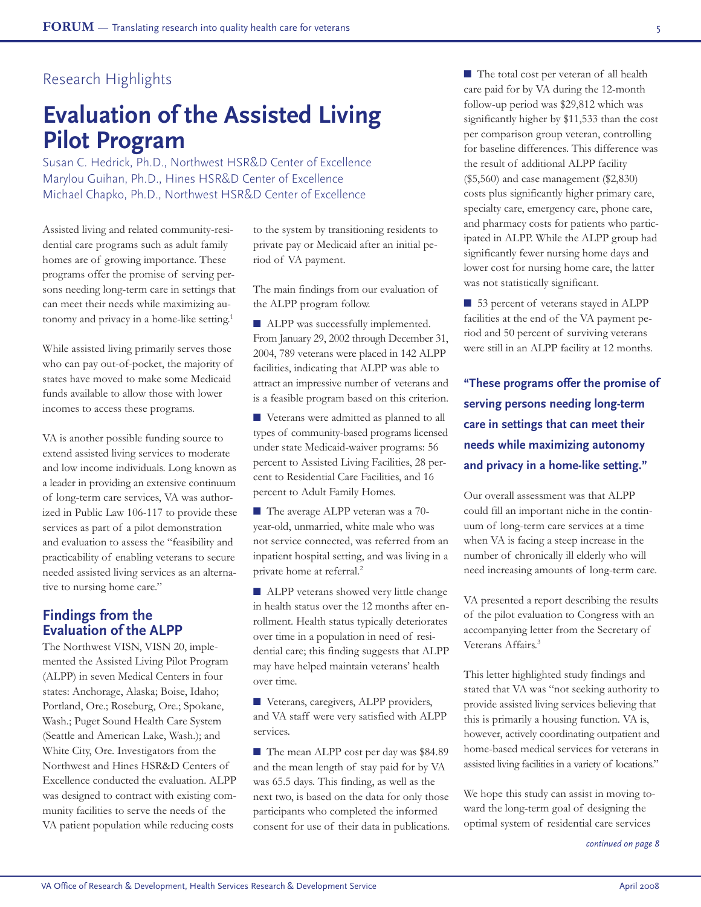## Research Highlights

# **Evaluation of the Assisted Living Pilot Program**

Susan C. Hedrick, Ph.D., Northwest HSR&D Center of Excellence Marylou Guihan, Ph.D., Hines HSR&D Center of Excellence Michael Chapko, Ph.D., Northwest HSR&D Center of Excellence

Assisted living and related community-residential care programs such as adult family homes are of growing importance. These programs offer the promise of serving persons needing long-term care in settings that can meet their needs while maximizing autonomy and privacy in a home-like setting.<sup>1</sup>

While assisted living primarily serves those who can pay out-of-pocket, the majority of states have moved to make some Medicaid funds available to allow those with lower incomes to access these programs.

VA is another possible funding source to extend assisted living services to moderate and low income individuals. Long known as a leader in providing an extensive continuum of long-term care services, VA was authorized in Public Law 106-117 to provide these services as part of a pilot demonstration and evaluation to assess the "feasibility and practicability of enabling veterans to secure needed assisted living services as an alternative to nursing home care."

#### **Findings from the Evaluation of the ALPP**

The Northwest VISN, VISN 20, implemented the Assisted Living Pilot Program (ALPP) in seven Medical Centers in four states: Anchorage, Alaska; Boise, Idaho; Portland, Ore.; Roseburg, Ore.; Spokane, Wash.; Puget Sound Health Care System (Seattle and American Lake, Wash.); and White City, Ore. Investigators from the Northwest and Hines HSR&D Centers of Excellence conducted the evaluation. ALPP was designed to contract with existing community facilities to serve the needs of the VA patient population while reducing costs

to the system by transitioning residents to private pay or Medicaid after an initial period of VA payment.

The main findings from our evaluation of the ALPP program follow.

■ ALPP was successfully implemented. From January 29, 2002 through December 31, 2004, 789 veterans were placed in 142 ALPP facilities, indicating that ALPP was able to attract an impressive number of veterans and is a feasible program based on this criterion.

■ Veterans were admitted as planned to all types of community-based programs licensed under state Medicaid-waiver programs: 56 percent to Assisted Living Facilities, 28 percent to Residential Care Facilities, and 16 percent to Adult Family Homes.

■ The average ALPP veteran was a 70year-old, unmarried, white male who was not service connected, was referred from an inpatient hospital setting, and was living in a private home at referral.<sup>2</sup>

■ ALPP veterans showed very little change in health status over the 12 months after enrollment. Health status typically deteriorates over time in a population in need of residential care; this finding suggests that ALPP may have helped maintain veterans' health over time.

■ Veterans, caregivers, ALPP providers, and VA staff were very satisfied with ALPP services.

■ The mean ALPP cost per day was \$84.89 and the mean length of stay paid for by VA was 65.5 days. This finding, as well as the next two, is based on the data for only those participants who completed the informed consent for use of their data in publications. ■ The total cost per veteran of all health care paid for by VA during the 12-month follow-up period was \$29,812 which was significantly higher by \$11,533 than the cost per comparison group veteran, controlling for baseline differences. This difference was the result of additional ALPP facility (\$5,560) and case management (\$2,830) costs plus significantly higher primary care, specialty care, emergency care, phone care, and pharmacy costs for patients who participated in ALPP. While the ALPP group had significantly fewer nursing home days and lower cost for nursing home care, the latter was not statistically significant.

■ 53 percent of veterans stayed in ALPP facilities at the end of the VA payment period and 50 percent of surviving veterans were still in an ALPP facility at 12 months.

**"These programs offer the promise of serving persons needing long-term care in settings that can meet their needs while maximizing autonomy and privacy in a home-like setting."**

Our overall assessment was that ALPP could fill an important niche in the continuum of long-term care services at a time when VA is facing a steep increase in the number of chronically ill elderly who will need increasing amounts of long-term care.

VA presented a report describing the results of the pilot evaluation to Congress with an accompanying letter from the Secretary of Veterans Affairs.<sup>3</sup>

This letter highlighted study findings and stated that VA was "not seeking authority to provide assisted living services believing that this is primarily a housing function. VA is, however, actively coordinating outpatient and home-based medical services for veterans in assisted living facilities in a variety of locations."

We hope this study can assist in moving toward the long-term goal of designing the optimal system of residential care services

*continued on page 8*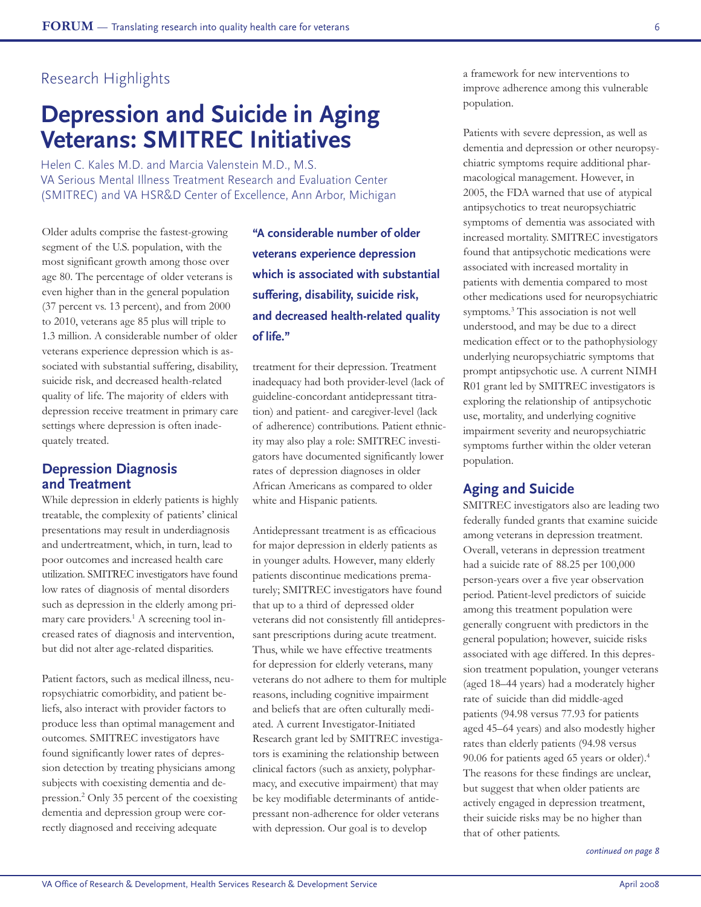## Research Highlights

# **Depression and Suicide in Aging Veterans: SMITREC Initiatives**

Helen C. Kales M.D. and Marcia Valenstein M.D., M.S. VA Serious Mental Illness Treatment Research and Evaluation Center (SMITREC) and VA HSR&D Center of Excellence, Ann Arbor, Michigan

Older adults comprise the fastest-growing segment of the U.S. population, with the most significant growth among those over age 80. The percentage of older veterans is even higher than in the general population (37 percent vs. 13 percent), and from 2000 to 2010, veterans age 85 plus will triple to 1.3 million. A considerable number of older veterans experience depression which is associated with substantial suffering, disability, suicide risk, and decreased health-related quality of life. The majority of elders with depression receive treatment in primary care settings where depression is often inadequately treated.

#### **Depression Diagnosis and Treatment**

While depression in elderly patients is highly treatable, the complexity of patients' clinical presentations may result in underdiagnosis and undertreatment, which, in turn, lead to poor outcomes and increased health care utilization. SMITREC investigators have found low rates of diagnosis of mental disorders such as depression in the elderly among primary care providers.<sup>1</sup> A screening tool increased rates of diagnosis and intervention, but did not alter age-related disparities.

Patient factors, such as medical illness, neuropsychiatric comorbidity, and patient beliefs, also interact with provider factors to produce less than optimal management and outcomes. SMITREC investigators have found significantly lower rates of depression detection by treating physicians among subjects with coexisting dementia and depression.2 Only 35 percent of the coexisting dementia and depression group were correctly diagnosed and receiving adequate

**"A considerable number of older veterans experience depression which is associated with substantial suffering, disability, suicide risk, and decreased health-related quality of life."**

treatment for their depression. Treatment inadequacy had both provider-level (lack of guideline-concordant antidepressant titration) and patient- and caregiver-level (lack of adherence) contributions. Patient ethnicity may also play a role: SMITREC investigators have documented significantly lower rates of depression diagnoses in older African Americans as compared to older white and Hispanic patients.

Antidepressant treatment is as efficacious for major depression in elderly patients as in younger adults. However, many elderly patients discontinue medications prematurely; SMITREC investigators have found that up to a third of depressed older veterans did not consistently fill antidepressant prescriptions during acute treatment. Thus, while we have effective treatments for depression for elderly veterans, many veterans do not adhere to them for multiple reasons, including cognitive impairment and beliefs that are often culturally mediated. A current Investigator-Initiated Research grant led by SMITREC investigators is examining the relationship between clinical factors (such as anxiety, polypharmacy, and executive impairment) that may be key modifiable determinants of antidepressant non-adherence for older veterans with depression. Our goal is to develop

a framework for new interventions to improve adherence among this vulnerable population.

Patients with severe depression, as well as dementia and depression or other neuropsychiatric symptoms require additional pharmacological management. However, in 2005, the FDA warned that use of atypical antipsychotics to treat neuropsychiatric symptoms of dementia was associated with increased mortality. SMITREC investigators found that antipsychotic medications were associated with increased mortality in patients with dementia compared to most other medications used for neuropsychiatric symptoms.3 This association is not well understood, and may be due to a direct medication effect or to the pathophysiology underlying neuropsychiatric symptoms that prompt antipsychotic use. A current NIMH R01 grant led by SMITREC investigators is exploring the relationship of antipsychotic use, mortality, and underlying cognitive impairment severity and neuropsychiatric symptoms further within the older veteran population.

#### **Aging and Suicide**

SMITREC investigators also are leading two federally funded grants that examine suicide among veterans in depression treatment. Overall, veterans in depression treatment had a suicide rate of 88.25 per 100,000 person-years over a five year observation period. Patient-level predictors of suicide among this treatment population were generally congruent with predictors in the general population; however, suicide risks associated with age differed. In this depression treatment population, younger veterans (aged 18–44 years) had a moderately higher rate of suicide than did middle-aged patients (94.98 versus 77.93 for patients aged 45–64 years) and also modestly higher rates than elderly patients (94.98 versus 90.06 for patients aged 65 years or older).4 The reasons for these findings are unclear, but suggest that when older patients are actively engaged in depression treatment, their suicide risks may be no higher than that of other patients.

*continued on page 8*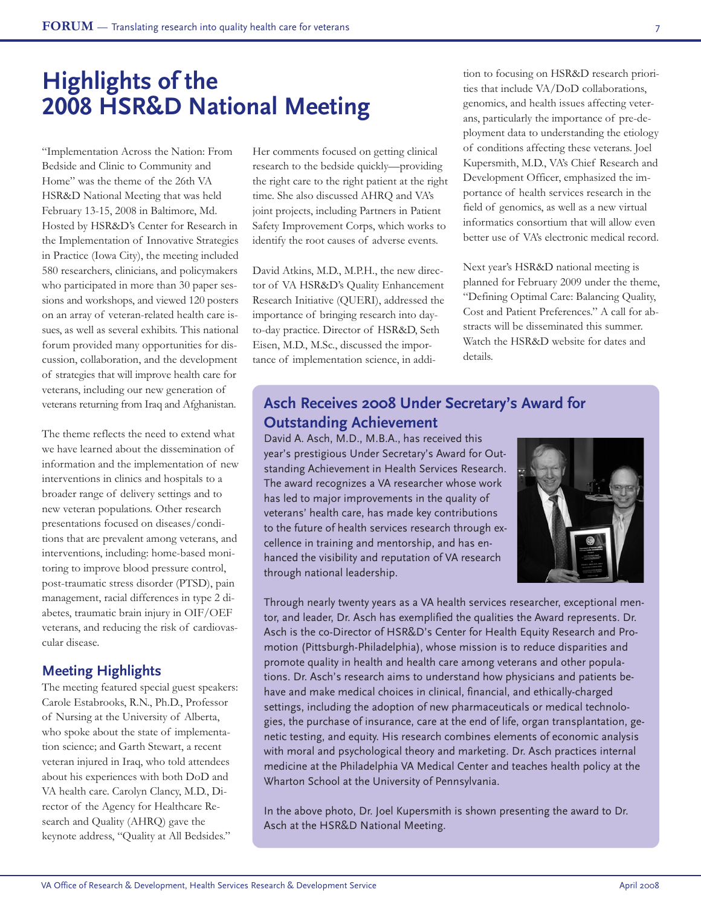# **Highlights of the 2008 HSR&D National Meeting**

"Implementation Across the Nation: From Bedside and Clinic to Community and Home" was the theme of the 26th VA HSR&D National Meeting that was held February 13-15, 2008 in Baltimore, Md. Hosted by HSR&D's Center for Research in the Implementation of Innovative Strategies in Practice (Iowa City), the meeting included 580 researchers, clinicians, and policymakers who participated in more than 30 paper sessions and workshops, and viewed 120 posters on an array of veteran-related health care issues, as well as several exhibits. This national forum provided many opportunities for discussion, collaboration, and the development of strategies that will improve health care for veterans, including our new generation of veterans returning from Iraq and Afghanistan.

The theme reflects the need to extend what we have learned about the dissemination of information and the implementation of new interventions in clinics and hospitals to a broader range of delivery settings and to new veteran populations. Other research presentations focused on diseases/conditions that are prevalent among veterans, and interventions, including: home-based monitoring to improve blood pressure control, post-traumatic stress disorder (PTSD), pain management, racial differences in type 2 diabetes, traumatic brain injury in OIF/OEF veterans, and reducing the risk of cardiovascular disease.

## **Meeting Highlights**

The meeting featured special guest speakers: Carole Estabrooks, R.N., Ph.D., Professor of Nursing at the University of Alberta, who spoke about the state of implementation science; and Garth Stewart, a recent veteran injured in Iraq, who told attendees about his experiences with both DoD and VA health care. Carolyn Clancy, M.D., Director of the Agency for Healthcare Research and Quality (AHRQ) gave the keynote address, "Quality at All Bedsides."

Her comments focused on getting clinical research to the bedside quickly—providing the right care to the right patient at the right time. She also discussed AHRQ and VA's joint projects, including Partners in Patient Safety Improvement Corps, which works to identify the root causes of adverse events.

David Atkins, M.D., M.P.H., the new director of VA HSR&D's Quality Enhancement Research Initiative (QUERI), addressed the importance of bringing research into dayto-day practice. Director of HSR&D, Seth Eisen, M.D., M.Sc., discussed the importance of implementation science, in addition to focusing on HSR&D research priorities that include VA/DoD collaborations, genomics, and health issues affecting veterans, particularly the importance of pre-deployment data to understanding the etiology of conditions affecting these veterans. Joel Kupersmith, M.D., VA's Chief Research and Development Officer, emphasized the importance of health services research in the field of genomics, as well as a new virtual informatics consortium that will allow even better use of VA's electronic medical record.

Next year's HSR&D national meeting is planned for February 2009 under the theme, "Defining Optimal Care: Balancing Quality, Cost and Patient Preferences." A call for abstracts will be disseminated this summer. Watch the HSR&D website for dates and details.

## **Asch Receives 2008 Under Secretary's Award for Outstanding Achievement**

David A. Asch, M.D., M.B.A., has received this year's prestigious Under Secretary's Award for Outstanding Achievement in Health Services Research. The award recognizes a VA researcher whose work has led to major improvements in the quality of veterans' health care, has made key contributions to the future of health services research through excellence in training and mentorship, and has enhanced the visibility and reputation of VA research through national leadership.



Through nearly twenty years as a VA health services researcher, exceptional mentor, and leader, Dr. Asch has exemplified the qualities the Award represents. Dr. Asch is the co-Director of HSR&D's Center for Health Equity Research and Promotion (Pittsburgh-Philadelphia), whose mission is to reduce disparities and promote quality in health and health care among veterans and other populations. Dr. Asch's research aims to understand how physicians and patients behave and make medical choices in clinical, financial, and ethically-charged settings, including the adoption of new pharmaceuticals or medical technologies, the purchase of insurance, care at the end of life, organ transplantation, genetic testing, and equity. His research combines elements of economic analysis with moral and psychological theory and marketing. Dr. Asch practices internal medicine at the Philadelphia VA Medical Center and teaches health policy at the Wharton School at the University of Pennsylvania.

In the above photo, Dr. Joel Kupersmith is shown presenting the award to Dr. Asch at the HSR&D National Meeting.